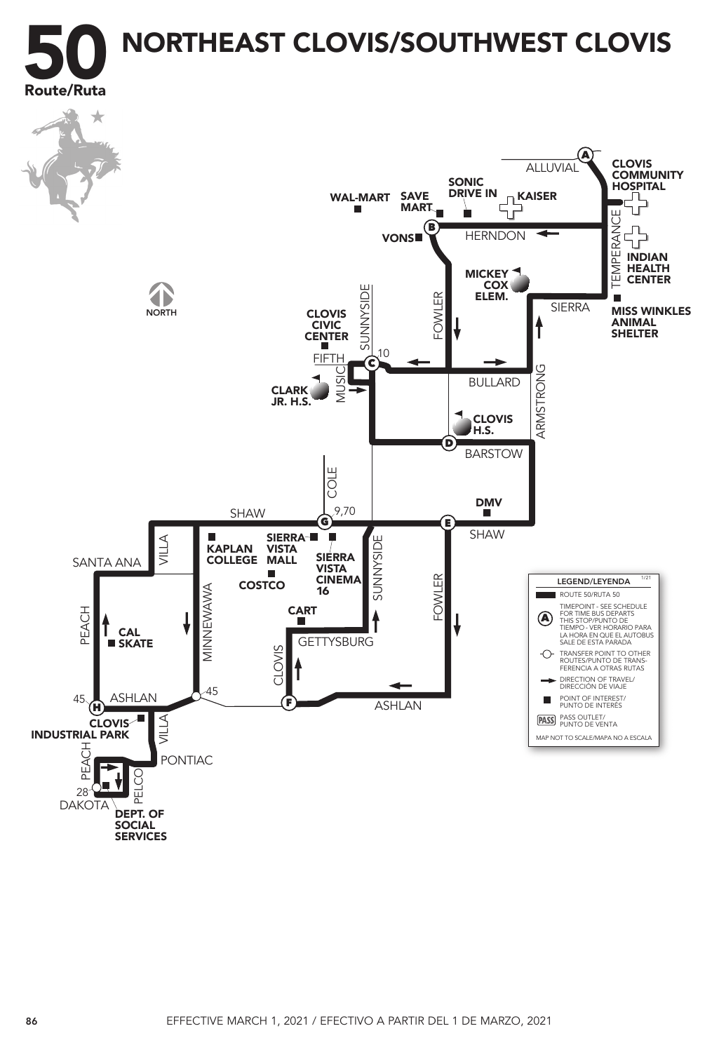